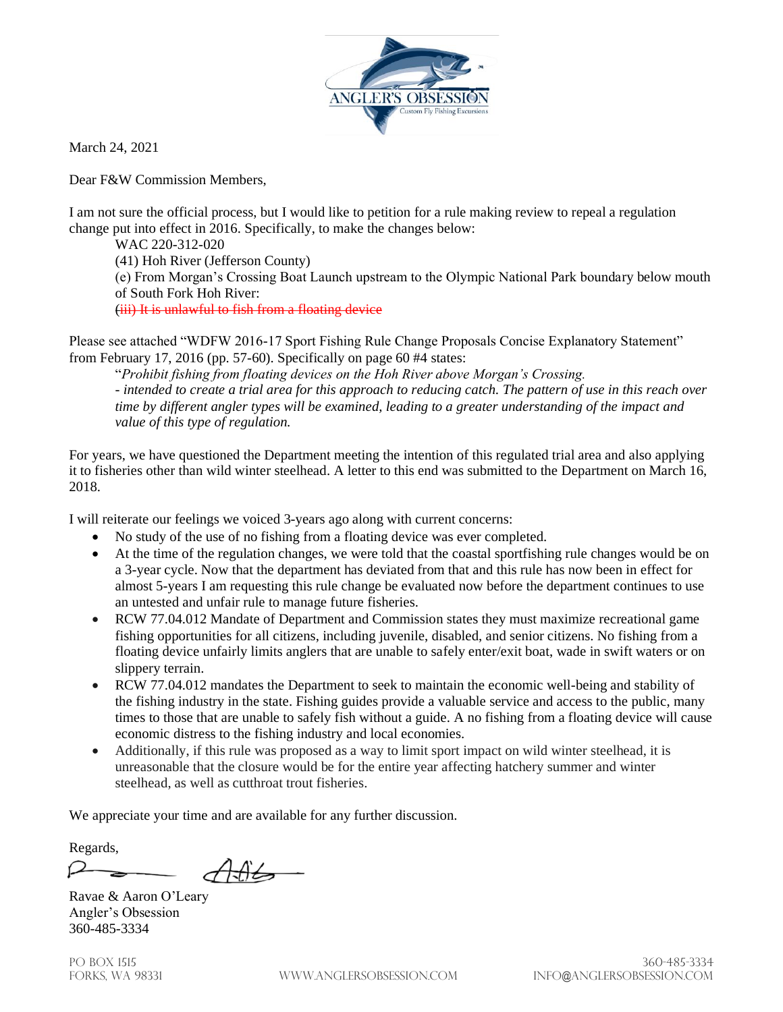

March 24, 2021

Dear F&W Commission Members,

I am not sure the official process, but I would like to petition for a rule making review to repeal a regulation change put into effect in 2016. Specifically, to make the changes below:

WAC 220-312-020 (41) Hoh River (Jefferson County) (e) From Morgan's Crossing Boat Launch upstream to the Olympic National Park boundary below mouth of South Fork Hoh River: (iii) It is unlawful to fish from a floating device

Please see attached "WDFW 2016-17 Sport Fishing Rule Change Proposals Concise Explanatory Statement" from February 17, 2016 (pp. 57-60). Specifically on page 60 #4 states:

"*Prohibit fishing from floating devices on the Hoh River above Morgan's Crossing. - intended to create a trial area for this approach to reducing catch. The pattern of use in this reach over time by different angler types will be examined, leading to a greater understanding of the impact and value of this type of regulation.* 

For years, we have questioned the Department meeting the intention of this regulated trial area and also applying it to fisheries other than wild winter steelhead. A letter to this end was submitted to the Department on March 16, 2018.

I will reiterate our feelings we voiced 3-years ago along with current concerns:

- No study of the use of no fishing from a floating device was ever completed.
- At the time of the regulation changes, we were told that the coastal sportfishing rule changes would be on a 3-year cycle. Now that the department has deviated from that and this rule has now been in effect for almost 5-years I am requesting this rule change be evaluated now before the department continues to use an untested and unfair rule to manage future fisheries.
- RCW 77.04.012 Mandate of Department and Commission states they must maximize recreational game fishing opportunities for all citizens, including juvenile, disabled, and senior citizens. No fishing from a floating device unfairly limits anglers that are unable to safely enter/exit boat, wade in swift waters or on slippery terrain.
- RCW 77.04.012 mandates the Department to seek to maintain the economic well-being and stability of the fishing industry in the state. Fishing guides provide a valuable service and access to the public, many times to those that are unable to safely fish without a guide. A no fishing from a floating device will cause economic distress to the fishing industry and local economies.
- Additionally, if this rule was proposed as a way to limit sport impact on wild winter steelhead, it is unreasonable that the closure would be for the entire year affecting hatchery summer and winter steelhead, as well as cutthroat trout fisheries.

We appreciate your time and are available for any further discussion.

Regards,

Ravae & Aaron O'Leary Angler's Obsession 360-485-3334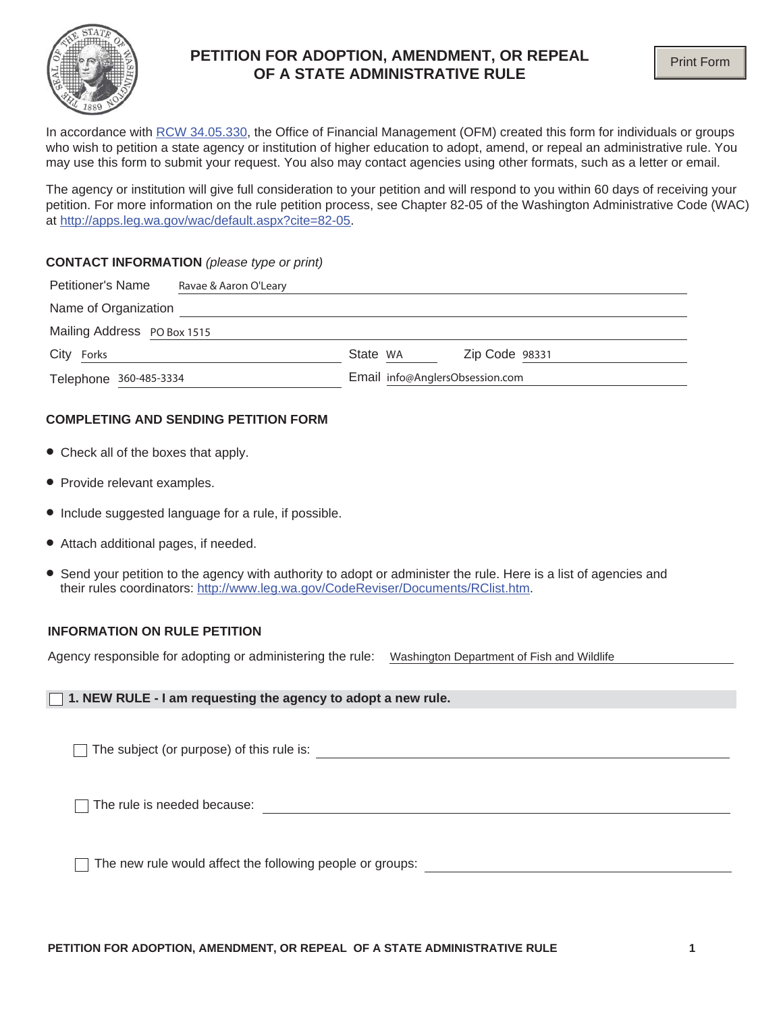

# **PETITION FOR ADOPTION, AMENDMENT, OR REPEAL OF A STATE ADMINISTRATIVE RULE**

In accordance with RCW 34.05.330, the Office of Financial Management (OFM) created this form for individuals or groups who wish to petition a state agency or institution of higher education to adopt, amend, or repeal an administrative rule. You may use this form to submit your request. You also may contact agencies using other formats, such as a letter or email.

The agency or institution will give full consideration to your petition and will respond to you within 60 days of receiving your petition. For more information on the rule petition process, see Chapter 82-05 of the Washington Administrative Code (WAC) at http://apps.leg.wa.gov/wac/default.aspx?cite=82-05.

#### **CONTACT INFORMATION** *(please type or print)*

| <b>Petitioner's Name</b>    | Ravae & Aaron O'Leary |                                 |                |
|-----------------------------|-----------------------|---------------------------------|----------------|
| Name of Organization        |                       |                                 |                |
| Mailing Address PO Box 1515 |                       |                                 |                |
| City<br>Forks               |                       | State WA                        | Zip Code 98331 |
| Telephone 360-485-3334      |                       | Email info@AnglersObsession.com |                |

### **COMPLETING AND SENDING PETITION FORM**

- Check all of the boxes that apply.
- Provide relevant examples.
- Include suggested language for a rule, if possible.
- Attach additional pages, if needed.
- Send your petition to the agency with authority to adopt or administer the rule. Here is a list of agencies and their rules coordinators: http://www.leg.wa.gov/CodeReviser/Documents/RClist.htm.

### **INFORMATION ON RULE PETITION**

Agency responsible for adopting or administering the rule: Washington Department of Fish and Wildlife

#### **1. NEW RULE - I am requesting the agency to adopt a new rule.**

The subject (or purpose) of this rule is:  $\qquad \qquad \qquad$ 

The rule is needed because: The rule is needed because:

The new rule would affect the following people or groups: The new rule would affect the following people or groups: